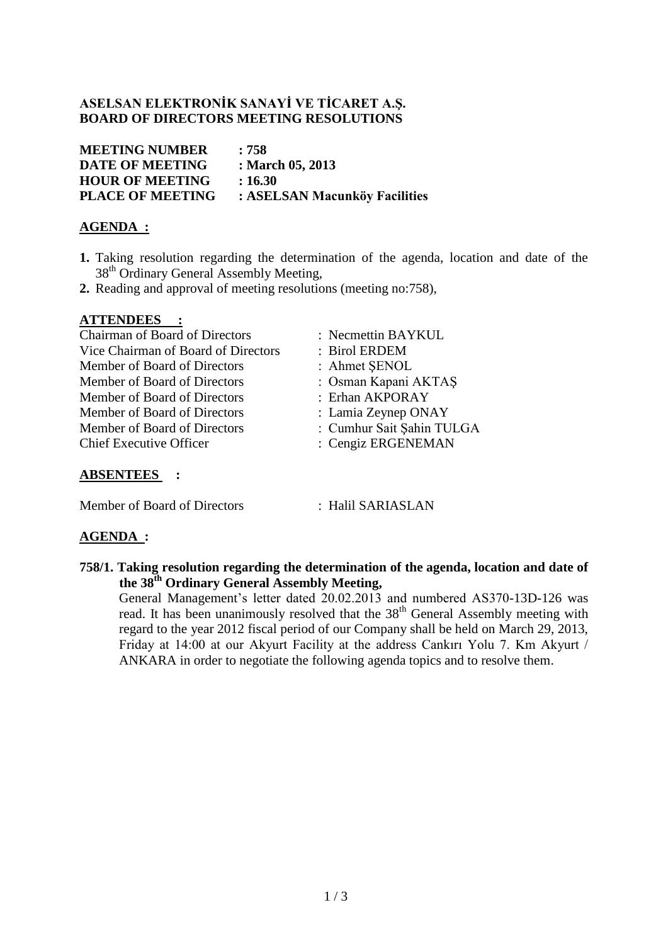## **ASELSAN ELEKTRONİK SANAYİ VE TİCARET A.Ş. BOARD OF DIRECTORS MEETING RESOLUTIONS**

**MEETING NUMBER : 758 DATE OF MEETING : March 05, 2013 HOUR OF MEETING : 16.30 PLACE OF MEETING : ASELSAN Macunköy Facilities**

# **AGENDA :**

- **1.** Taking resolution regarding the determination of the agenda, location and date of the 38<sup>th</sup> Ordinary General Assembly Meeting,
- **2.** Reading and approval of meeting resolutions (meeting no:758),

#### **ATTENDEES :**

Chairman of Board of Directors : Necmettin BAYKUL Vice Chairman of Board of Directors : Birol ERDEM Member of Board of Directors : Ahmet ŞENOL Member of Board of Directors : Osman Kapani AKTAŞ Member of Board of Directors : Erhan AKPORAY Member of Board of Directors : Lamia Zeynep ONAY Member of Board of Directors : Cumhur Sait Sahin TULGA Chief Executive Officer : Cengiz ERGENEMAN

- 
- 
- 
- 
- 
- 
- 
- 

## **ABSENTEES :**

Member of Board of Directors : Halil SARIASLAN

#### **AGENDA :**

**758/1. Taking resolution regarding the determination of the agenda, location and date of the 38th Ordinary General Assembly Meeting,**

General Management's letter dated 20.02.2013 and numbered AS370-13D-126 was read. It has been unanimously resolved that the 38<sup>th</sup> General Assembly meeting with regard to the year 2012 fiscal period of our Company shall be held on March 29, 2013, Friday at 14:00 at our Akyurt Facility at the address Cankırı Yolu 7. Km Akyurt / ANKARA in order to negotiate the following agenda topics and to resolve them.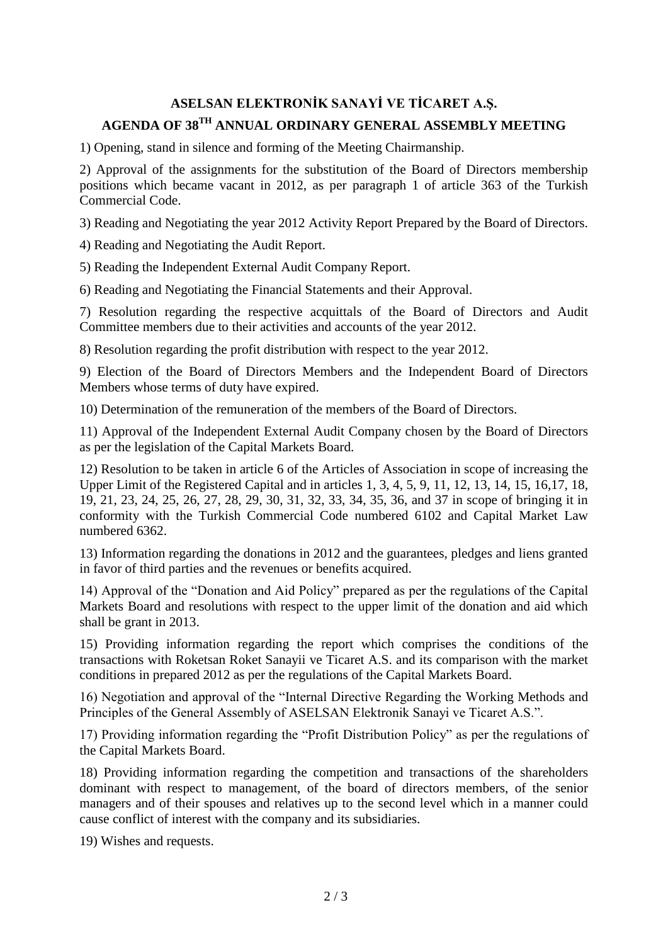# **ASELSAN ELEKTRONİK SANAYİ VE TİCARET A.Ş. AGENDA OF 38TH ANNUAL ORDINARY GENERAL ASSEMBLY MEETING**

1) Opening, stand in silence and forming of the Meeting Chairmanship.

2) Approval of the assignments for the substitution of the Board of Directors membership positions which became vacant in 2012, as per paragraph 1 of article 363 of the Turkish Commercial Code.

3) Reading and Negotiating the year 2012 Activity Report Prepared by the Board of Directors.

4) Reading and Negotiating the Audit Report.

5) Reading the Independent External Audit Company Report.

6) Reading and Negotiating the Financial Statements and their Approval.

7) Resolution regarding the respective acquittals of the Board of Directors and Audit Committee members due to their activities and accounts of the year 2012.

8) Resolution regarding the profit distribution with respect to the year 2012.

9) Election of the Board of Directors Members and the Independent Board of Directors Members whose terms of duty have expired.

10) Determination of the remuneration of the members of the Board of Directors.

11) Approval of the Independent External Audit Company chosen by the Board of Directors as per the legislation of the Capital Markets Board.

12) Resolution to be taken in article 6 of the Articles of Association in scope of increasing the Upper Limit of the Registered Capital and in articles 1, 3, 4, 5, 9, 11, 12, 13, 14, 15, 16,17, 18, 19, 21, 23, 24, 25, 26, 27, 28, 29, 30, 31, 32, 33, 34, 35, 36, and 37 in scope of bringing it in conformity with the Turkish Commercial Code numbered 6102 and Capital Market Law numbered 6362.

13) Information regarding the donations in 2012 and the guarantees, pledges and liens granted in favor of third parties and the revenues or benefits acquired.

14) Approval of the "Donation and Aid Policy" prepared as per the regulations of the Capital Markets Board and resolutions with respect to the upper limit of the donation and aid which shall be grant in 2013.

15) Providing information regarding the report which comprises the conditions of the transactions with Roketsan Roket Sanayii ve Ticaret A.S. and its comparison with the market conditions in prepared 2012 as per the regulations of the Capital Markets Board.

16) Negotiation and approval of the "Internal Directive Regarding the Working Methods and Principles of the General Assembly of ASELSAN Elektronik Sanayi ve Ticaret A.S.".

17) Providing information regarding the "Profit Distribution Policy" as per the regulations of the Capital Markets Board.

18) Providing information regarding the competition and transactions of the shareholders dominant with respect to management, of the board of directors members, of the senior managers and of their spouses and relatives up to the second level which in a manner could cause conflict of interest with the company and its subsidiaries.

19) Wishes and requests.